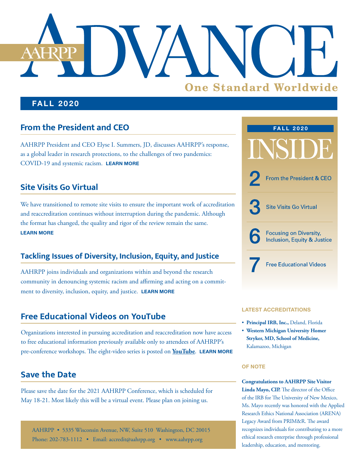# **One Standard Worldwide**

### **FALL 2020**

# **From the President and CEO**

AAHRPP President and CEO Elyse I. Summers, JD, discusses AAHRPP's response, as a global leader in research protections, to the challenges of two pandemics: COVID-19 and systemic racism. **[LEARN MORE](#page-1-0)**

# **Site Visits Go Virtual**

We have transitioned to remote site visits to ensure the important work of accreditation and reaccreditation continues without interruption during the pandemic. Although the format has changed, the quality and rigor of the review remain the same. **[LEARN MORE](#page-2-0)**

# **Tackling Issues of Diversity, Inclusion, Equity, and Justice**

AAHRPP joins individuals and organizations within and beyond the research community in denouncing systemic racism and affirming and acting on a commitment to diversity, inclusion, equity, and justice. **[LEARN MORE](#page-5-0)**

# **Free Educational Videos on YouTube**

Organizations interested in pursuing accreditation and reaccreditation now have access to free educational information previously available only to attendees of AAHRPP's pre-conference workshops. The eight-video series is posted on **[YouTube](https://www.youtube.com/playlist?list=PLvtuTeXSbCYS0M7wEHLZGmcoKGYNxP6vl)**. **[LEARN MORE](#page-6-0)**

# **Save the Date**

Please save the date for the 2021 AAHRPP Conference, which is scheduled for May 18-21. Most likely this will be a virtual event. Please plan on joining us.





### **LATEST ACCREDITATIONS**

- **Principal IRB, Inc.,** Deland, Florida
- **Western Michigan University Homer Stryker, MD, School of Medicine,**  Kalamazoo, Michigan

### **OF NOTE**

**Congratulations to AAHRPP Site Visitor Linda Mayo, CIP.** The director of the Office of the IRB for The University of New Mexico, Ms. Mayo recently was honored with the Applied Research Ethics National Association (ARENA) Legacy Award from PRIM&R. The award recognizes individuals for contributing to a more ethical research enterprise through professional leadership, education, and mentoring.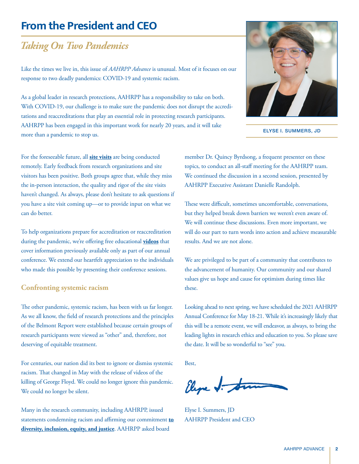# <span id="page-1-0"></span>**From the President and CEO**

# *Taking On Two Pandemics*

Like the times we live in, this issue of *AAHRPP Advance* is unusual. Most of it focuses on our response to two deadly pandemics: COVID-19 and systemic racism.

As a global leader in research protections, AAHRPP has a responsibility to take on both. With COVID-19, our challenge is to make sure the pandemic does not disrupt the accreditations and reaccreditations that play an essential role in protecting research participants. AAHRPP has been engaged in this important work for nearly 20 years, and it will take more than a pandemic to stop us.

For the foreseeable future, all **[site visits](#page-2-0)** are being conducted remotely. Early feedback from research organizations and site visitors has been positive. Both groups agree that, while they miss the in-person interaction, the quality and rigor of the site visits haven't changed. As always, please don't hesitate to ask questions if you have a site visit coming up—or to provide input on what we can do better.

To help organizations prepare for accreditation or reaccreditation during the pandemic, we're offering free educational **[videos](https://www.youtube.com/playlist?list=PLvtuTeXSbCYS0M7wEHLZGmcoKGYNxP6vl)** that cover information previously available only as part of our annual conference. We extend our heartfelt appreciation to the individuals who made this possible by presenting their conference sessions.

### **Confronting systemic racism**

The other pandemic, systemic racism, has been with us far longer. As we all know, the field of research protections and the principles of the Belmont Report were established because certain groups of research participants were viewed as "other" and, therefore, not deserving of equitable treatment.

For centuries, our nation did its best to ignore or dismiss systemic racism. That changed in May with the release of videos of the killing of George Floyd. We could no longer ignore this pandemic. We could no longer be silent.

Many in the research community, including AAHRPP, issued statements condemning racism and affirming our commitment **[to](#page-5-0)  [diversity, inclusion, equity, and justice](#page-5-0)**. AAHRPP asked board

member Dr. Quincy Byrdsong, a frequent presenter on these topics, to conduct an all-staff meeting for the AAHRPP team. We continued the discussion in a second session, presented by AAHRPP Executive Assistant Danielle Randolph.

ELYSE I. SUMMERS, JD

These were difficult, sometimes uncomfortable, conversations, but they helped break down barriers we weren't even aware of. We will continue these discussions. Even more important, we will do our part to turn words into action and achieve measurable results. And we are not alone.

We are privileged to be part of a community that contributes to the advancement of humanity. Our community and our shared values give us hope and cause for optimism during times like these.

Looking ahead to next spring, we have scheduled the 2021 AAHRPP Annual Conference for May 18-21. While it's increasingly likely that this will be a remote event, we will endeavor, as always, to bring the leading lights in research ethics and education to you. So please save the date. It will be so wonderful to "see" you.

Best,

Eleve J. Son

Elyse I. Summers, JD AAHRPP President and CEO

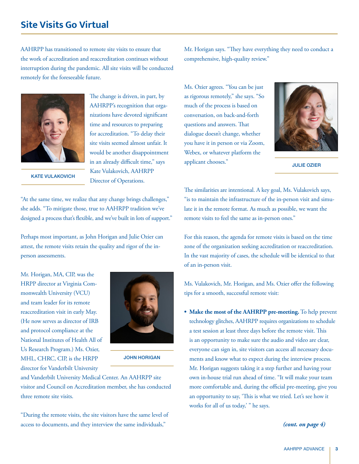# <span id="page-2-0"></span>**Site Visits Go Virtual**

AAHRPP has transitioned to remote site visits to ensure that the work of accreditation and reaccreditation continues without interruption during the pandemic. All site visits will be conducted remotely for the foreseeable future.



The change is driven, in part, by AAHRPP's recognition that organizations have devoted significant time and resources to preparing for accreditation. "To delay their site visits seemed almost unfair. It would be another disappointment in an already difficult time," says Kate Vulakovich, AAHRPP Director of Operations.

KATE VULAKOVICH

"At the same time, we realize that any change brings challenges," she adds. "To mitigate those, true to AAHRPP tradition we've designed a process that's flexible, and we've built in lots of support."

Perhaps most important, as John Horigan and Julie Ozier can attest, the remote visits retain the quality and rigor of the inperson assessments.

Mr. Horigan, MA, CIP, was the HRPP director at Virginia Commonwealth University (VCU) and team leader for its remote reaccreditation visit in early May. (He now serves as director of IRB and protocol compliance at the National Institutes of Health All of Us Research Program.) Ms. Ozier, MHL, CHRC, CIP, is the HRPP director for Vanderbilt University



JOHN HORIGAN

and Vanderbilt University Medical Center. An AAHRPP site visitor and Council on Accreditation member, she has conducted three remote site visits.

"During the remote visits, the site visitors have the same level of access to documents, and they interview the same individuals,"

Mr. Horigan says. "They have everything they need to conduct a comprehensive, high-quality review."

Ms. Ozier agrees. "You can be just as rigorous remotely," she says. "So much of the process is based on conversation, on back-and-forth questions and answers. That dialogue doesn't change, whether you have it in person or via Zoom, Webex, or whatever platform the applicant chooses."



JULIE OZIER

The similarities are intentional. A key goal, Ms. Vulakovich says, "is to maintain the infrastructure of the in-person visit and simulate it in the remote format. As much as possible, we want the remote visits to feel the same as in-person ones."

For this reason, the agenda for remote visits is based on the time zone of the organization seeking accreditation or reaccreditation. In the vast majority of cases, the schedule will be identical to that of an in-person visit.

Ms. Vulakovich, Mr. Horigan, and Ms. Ozier offer the following tips for a smooth, successful remote visit:

**• Make the most of the AAHRPP pre-meeting.** To help prevent technology glitches, AAHRPP requires organizations to schedule a test session at least three days before the remote visit. This is an opportunity to make sure the audio and video are clear, everyone can sign in, site visitors can access all necessary documents and know what to expect during the interview process. Mr. Horigan suggests taking it a step further and having your own in-house trial run ahead of time. "It will make your team more comfortable and, during the official pre-meeting, give you an opportunity to say, 'This is what we tried. Let's see how it works for all of us today,' " he says.

### *(cont. on page 4)*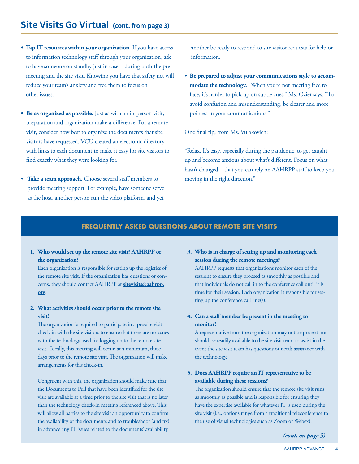- **Tap IT resources within your organization.** If you have access to information technology staff through your organization, ask to have someone on standby just in case—during both the premeeting and the site visit. Knowing you have that safety net will reduce your team's anxiety and free them to focus on other issues.
- **Be as organized as possible.** Just as with an in-person visit, preparation and organization make a difference. For a remote visit, consider how best to organize the documents that site visitors have requested. VCU created an electronic directory with links to each document to make it easy for site visitors to find exactly what they were looking for.
- **Take a team approach.** Choose several staff members to provide meeting support. For example, have someone serve as the host, another person run the video platform, and yet

another be ready to respond to site visitor requests for help or information.

**• Be prepared to adjust your communications style to accom**modate the technology. "When you're not meeting face to face, it's harder to pick up on subtle cues," Ms. Ozier says. "To avoid confusion and misunderstanding, be clearer and more pointed in your communications."

One final tip, from Ms. Vulakovich:

"Relax. It's easy, especially during the pandemic, to get caught up and become anxious about what's different. Focus on what hasn't changed—that you can rely on AAHRPP staff to keep you moving in the right direction."

### **FREQUENTLY ASKED QUESTIONS ABOUT REMOTE SITE VISITS**

**1. Who would set up the remote site visit? AAHRPP or the organization?** 

 Each organization is responsible for setting up the logistics of the remote site visit. If the organization has questions or concerns, they should contact AAHRPP at **[sitevisits@aahrpp.](mailto:sitevisits%40aahrpp.org?subject=) [org](mailto:sitevisits%40aahrpp.org?subject=)**.

**2. What activities should occur prior to the remote site visit?**

 The organization is required to participate in a pre-site visit check-in with the site visitors to ensure that there are no issues with the technology used for logging on to the remote site visit. Ideally, this meeting will occur, at a minimum, three days prior to the remote site visit. The organization will make arrangements for this check-in.

 Congruent with this, the organization should make sure that the Documents to Pull that have been identified for the site visit are available at a time prior to the site visit that is no later than the technology check-in meeting referenced above. This will allow all parties to the site visit an opportunity to confirm the availability of the documents and to troubleshoot (and fix) in advance any IT issues related to the documents' availability.

**3. Who is in charge of setting up and monitoring each session during the remote meetings?** 

 AAHRPP requests that organizations monitor each of the sessions to ensure they proceed as smoothly as possible and that individuals do not call in to the conference call until it is time for their session. Each organization is responsible for setting up the conference call line(s).

### **4. Can a staff member be present in the meeting to monitor?**

 A representative from the organization may not be present but should be readily available to the site visit team to assist in the event the site visit team has questions or needs assistance with the technology.

### **5. Does AAHRPP require an IT representative to be available during these sessions?**

 The organization should ensure that the remote site visit runs as smoothly as possible and is responsible for ensuring they have the expertise available for whatever IT is used during the site visit (i.e., options range from a traditional teleconference to the use of visual technologies such as Zoom or Webex).

*(cont. on page 5)*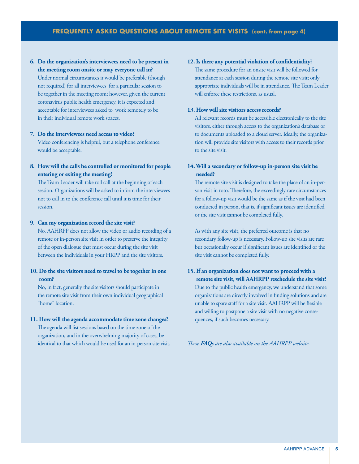**6. Do the organization's interviewees need to be present in the meeting room onsite or may everyone call in?**  Under normal circumstances it would be preferable (though not required) for all interviewees for a particular session to be together in the meeting room; however, given the current coronavirus public health emergency, it is expected and acceptable for interviewees asked to work remotely to be in their individual remote work spaces.

# **7. Do the interviewees need access to video?**

 Video conferencing is helpful, but a telephone conference would be acceptable.

**8. How will the calls be controlled or monitored for people entering or exiting the meeting?**

 The Team Leader will take roll call at the beginning of each session. Organizations will be asked to inform the interviewees not to call in to the conference call until it is time for their session.

### **9. Can my organization record the site visit?**

 No. AAHRPP does not allow the video or audio recording of a remote or in-person site visit in order to preserve the integrity of the open dialogue that must occur during the site visit between the individuals in your HRPP and the site visitors.

### **10. Do the site visitors need to travel to be together in one room?**

 No, in fact, generally the site visitors should participate in the remote site visit from their own individual geographical "home" location.

### **11. How will the agenda accommodate time zone changes?**

 The agenda will list sessions based on the time zone of the organization, and in the overwhelming majority of cases, be identical to that which would be used for an in-person site visit.

### **12. Is there any potential violation of confidentiality?**

 The same procedure for an onsite visit will be followed for attendance at each session during the remote site visit; only appropriate individuals will be in attendance. The Team Leader will enforce these restrictions, as usual.

### **13. How will site visitors access records?**

 All relevant records must be accessible electronically to the site visitors, either through access to the organization's database or to documents uploaded to a cloud server. Ideally, the organization will provide site visitors with access to their records prior to the site visit.

### **14. Will a secondary or follow-up in-person site visit be needed?**

 The remote site visit is designed to take the place of an in-person visit in toto. Therefore, the exceedingly rare circumstances for a follow-up visit would be the same as if the visit had been conducted in person, that is, if significant issues are identified or the site visit cannot be completed fully.

 As with any site visit, the preferred outcome is that no secondary follow-up is necessary. Follow-up site visits are rare but occasionally occur if significant issues are identified or the site visit cannot be completed fully.

**15. If an organization does not want to proceed with a remote site visit, will AAHRPP reschedule the site visit?**  Due to the public health emergency, we understand that some organizations are directly involved in finding solutions and are unable to spare staff for a site visit. AAHRPP will be flexible and willing to postpone a site visit with no negative consequences, if such becomes necessary.

*These [FAQs](https://admin.aahrpp.org/Website%20Documents/AAHRPP%20Frequently%20Asked%20Questions%20About%20Remote%20Site%20Visits%20for%20Organizations%20web%20doc.pdf) are also available on the AAHRPP website.*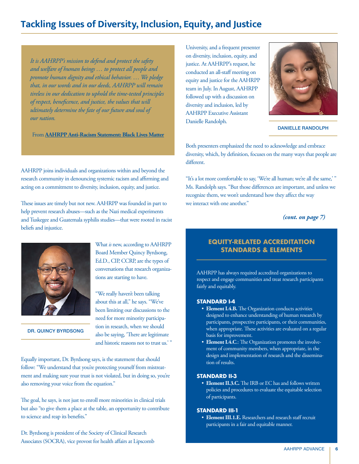# <span id="page-5-0"></span>**Tackling Issues of Diversity, Inclusion, Equity, and Justice**

*It is AAHRPP's mission to defend and protect the safety and welfare of human beings … to protect all people and promote human dignity and ethical behavior. … We pledge that, in our words and in our deeds, AAHRPP will remain tireless in our dedication to uphold the time-tested principles of respect, beneficence, and justice, the values that will ultimately determine the fate of our future and soul of our nation.*

From **[AAHRPP Anti-Racism Statement: Black Lives Matter](https://admin.aahrpp.org/Website%20Documents/FINALAAHRPP%20Statement%20Black%20Lives%20Matter.pdf)**

AAHRPP joins individuals and organizations within and beyond the research community in denouncing systemic racism and affirming and acting on a commitment to diversity, inclusion, equity, and justice.

These issues are timely but not new. AAHRPP was founded in part to help prevent research abuses—such as the Nazi medical experiments and Tuskegee and Guatemala syphilis studies—that were rooted in racist beliefs and injustice.



DR. QUINCY BYRDSONG

What *is* new, according to AAHRPP Board Member Quincy Byrdsong, Ed.D., CIP, CCRP, are the types of conversations that research organizations are starting to have.

about this at all," he says. "We've been limiting our discussions to the need for more minority participation in research, when we should also be saying, 'There are legitimate and historic reasons not to trust us.' "

"We really haven't been talking

Equally important, Dr. Byrdsong says, is the statement that should follow: "We understand that you're protecting yourself from mistreatment and making sure your trust is not violated, but in doing so, you're also removing your voice from the equation."

The goal, he says, is not just to enroll more minorities in clinical trials but also "to give them a place at the table, an opportunity to contribute to science and reap its benefits."

Dr. Byrdsong is president of the Society of Clinical Research Associates (SOCRA), vice provost for health affairs at Lipscomb

University, and a frequent presenter on diversity, inclusion, equity, and justice. At AAHRPP's request, he conducted an all-staff meeting on equity and justice for the AAHRPP team in July. In August, AAHRPP followed up with a discussion on diversity and inclusion, led by AAHRPP Executive Assistant Danielle Randolph.



DANIELLE RANDOLPH

Both presenters emphasized the need to acknowledge and embrace diversity, which, by definition, focuses on the many ways that people are different.

"It's a lot more comfortable to say, 'We're all human; we're all the same,'" Ms. Randolph says. "But those differences are important, and unless we recognize them, we won't understand how they affect the way we interact with one another."

*(cont. on page 7)*

### **EQUITY-RELATED ACCREDITATION STANDARDS & ELEMENTS**

AAHRPP has always required accredited organizations to respect and engage communities and treat research participants fairly and equitably.

### **STANDARD I-4**

- **Element I.4.B.** The Organization conducts activities designed to enhance understanding of human research by participants, prospective participants, or their communities, when appropriate. These activities are evaluated on a regular basis for improvement.
- **Element I.4.C**.: The Organization promotes the involvement of community members, when appropriate, in the design and implementation of research and the dissemination of results.

### **STANDARD II-3**

 • **Element II.3.C.** The IRB or EC has and follows written policies and procedures to evaluate the equitable selection of participants.

### **STANDARD III-1**

 • **Element III.1.E.** Researchers and research staff recruit participants in a fair and equitable manner.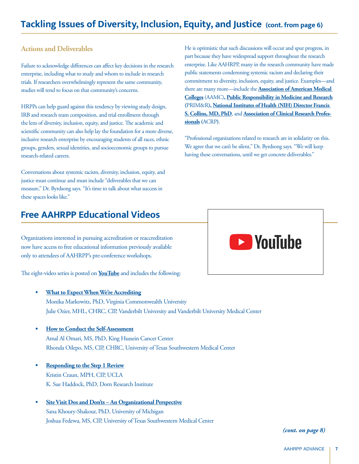# <span id="page-6-0"></span>**Tackling Issues of Diversity, Inclusion, Equity, and Justice (cont. from page 6)**

### **Actions and Deliverables**

Failure to acknowledge differences can affect key decisions in the research enterprise, including what to study and whom to include in research trials. If researchers overwhelmingly represent the same community, studies will tend to focus on that community's concerns.

HRPPs can help guard against this tendency by viewing study design, IRB and research team composition, and trial enrollment through the lens of diversity, inclusion, equity, and justice. The academic and scientific community can also help lay the foundation for a more diverse, inclusive research enterprise by encouraging students of all races, ethnic groups, genders, sexual identities, and socioeconomic groups to pursue research-related careers.

Conversations about systemic racism, diversity, inclusion, equity, and justice must continue and must include "deliverables that we can measure," Dr. Byrdsong says. "It's time to talk about what success in these spaces looks like."

He is optimistic that such discussions will occur and spur progress, in part because they have widespread support throughout the research enterprise. Like AAHRPP, many in the research community have made public statements condemning systemic racism and declaring their commitment to diversity, inclusion, equity, and justice. Examples—and there are many more—include the **[Association of American Medical](https://www.aamc.org/news-insights/press-releases/aamc-statement-police-brutality-and-racism-america-and-their-impact-health)  [Colleges](https://www.aamc.org/news-insights/press-releases/aamc-statement-police-brutality-and-racism-america-and-their-impact-health)** (AAMC)**, [Public Responsibility in Medicine and Research](https://www.primr.org/resources/black-lives-matter) (**PRIM&R**), [National Institutes of Health \(NIH\) Director Francis](https://www.edi.nih.gov/blog/news/nih-director-message-grieving-loss-and-confronting-social-injustice)  [S. Collins, MD, PhD](https://www.edi.nih.gov/blog/news/nih-director-message-grieving-loss-and-confronting-social-injustice)**, and **[Association of Clinical Research Profes](https://acrpnet.org/2020/06/26/statement-on-inequality-and-racism/)[sionals](https://acrpnet.org/2020/06/26/statement-on-inequality-and-racism/) (**ACRP**)**.

"Professional organizations related to research are in solidarity on this. We agree that we can't be silent," Dr. Byrdsong says. "We will keep having these conversations, until we get concrete deliverables."

# **Free AAHRPP Educational Videos**

Organizations interested in pursuing accreditation or reaccreditation now have access to free educational information previously available only to attendees of AAHRPP's pre-conference workshops.

The eight-video series is posted on **[YouTube](https://www.youtube.com/playlist?list=PLvtuTeXSbCYS0M7wEHLZGmcoKGYNxP6vl)** and includes the following:

- **• [What to Expect When We're Accrediting](https://www.youtube.com/watch?v=lgzruWFlnI8&list=PLvtuTeXSbCYS0M7wEHLZGmcoKGYNxP6vl&index=1)** Monika Markowitz, PhD, Virginia Commonwealth University Julie Ozier, MHL, CHRC, CIP, Vanderbilt University and Vanderbilt University Medical Center
- **• [How to Conduct the Self-Assessment](https://www.youtube.com/watch?v=b4t5maUYAUY&list=PLvtuTeXSbCYS0M7wEHLZGmcoKGYNxP6vl&index=2)** Amal Al Omari, MS, PhD, King Hussein Cancer Center Rhonda Oilepo, MS, CIP, CHRC, University of Texas Southwestern Medical Center
- **• [Responding to the Step 1 Review](https://www.youtube.com/watch?v=3UrCE7U_a_E&list=PLvtuTeXSbCYS0M7wEHLZGmcoKGYNxP6vl&index=3)** Kristin Craun, MPH, CIP, UCLA K. Sue Haddock, PhD, Dorn Research Institute
- **• [Site Visit Dos and Don'ts An Organizational Perspective](https://www.youtube.com/watch?v=5YuN-4ikuGs&list=PLvtuTeXSbCYS0M7wEHLZGmcoKGYNxP6vl&index=4)** Sana Khoury-Shakour, PhD, University of Michigan Joshua Fedewa, MS, CIP, University of Texas Southwestern Medical Center



*(cont. on page 8)*